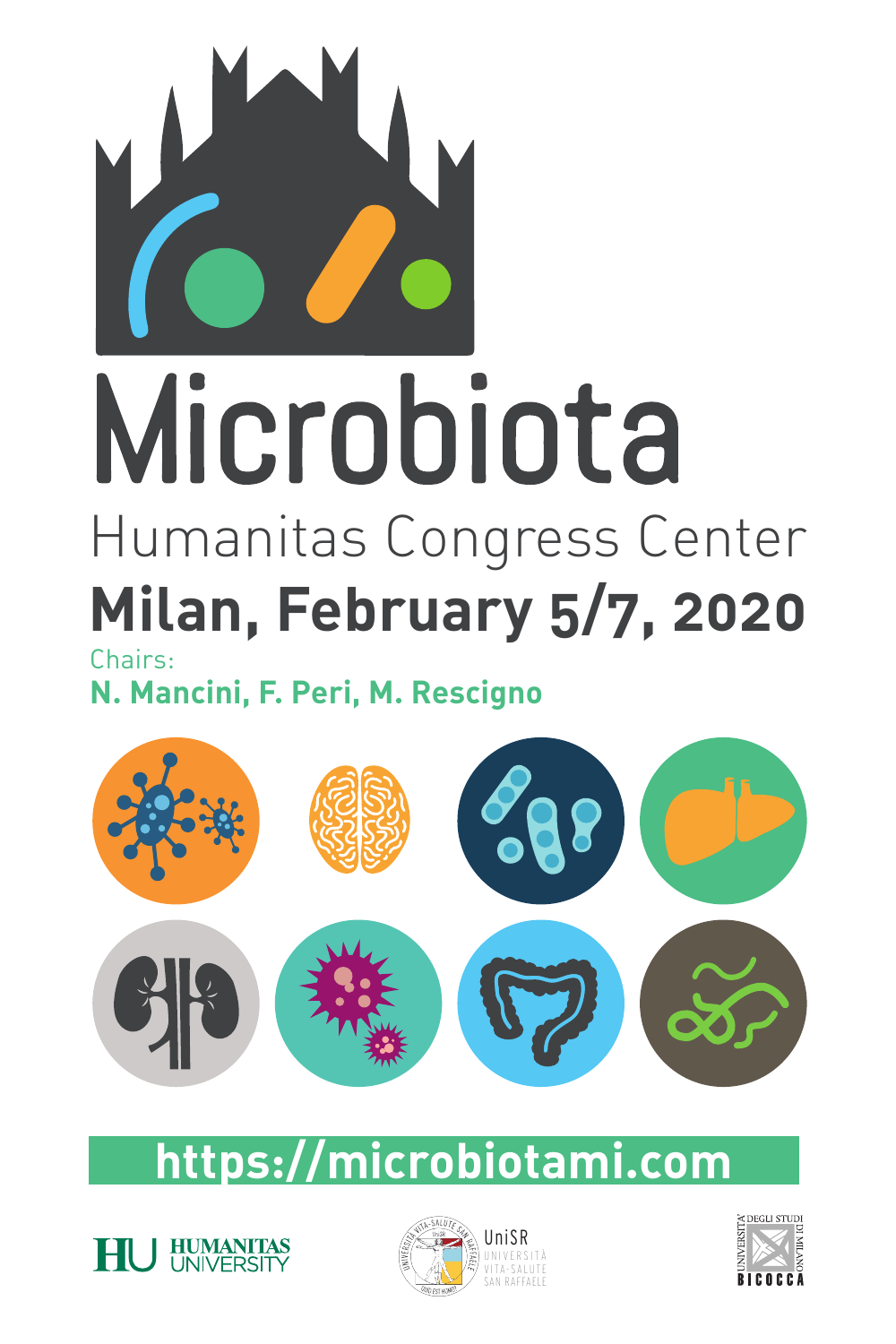

# Microbiota Humanitas Congress Center **Milan, February 5/7, 2020**

Chairs:

**N. Mancini, F. Peri, M. Rescigno** 



## **https://microbiotami.com**





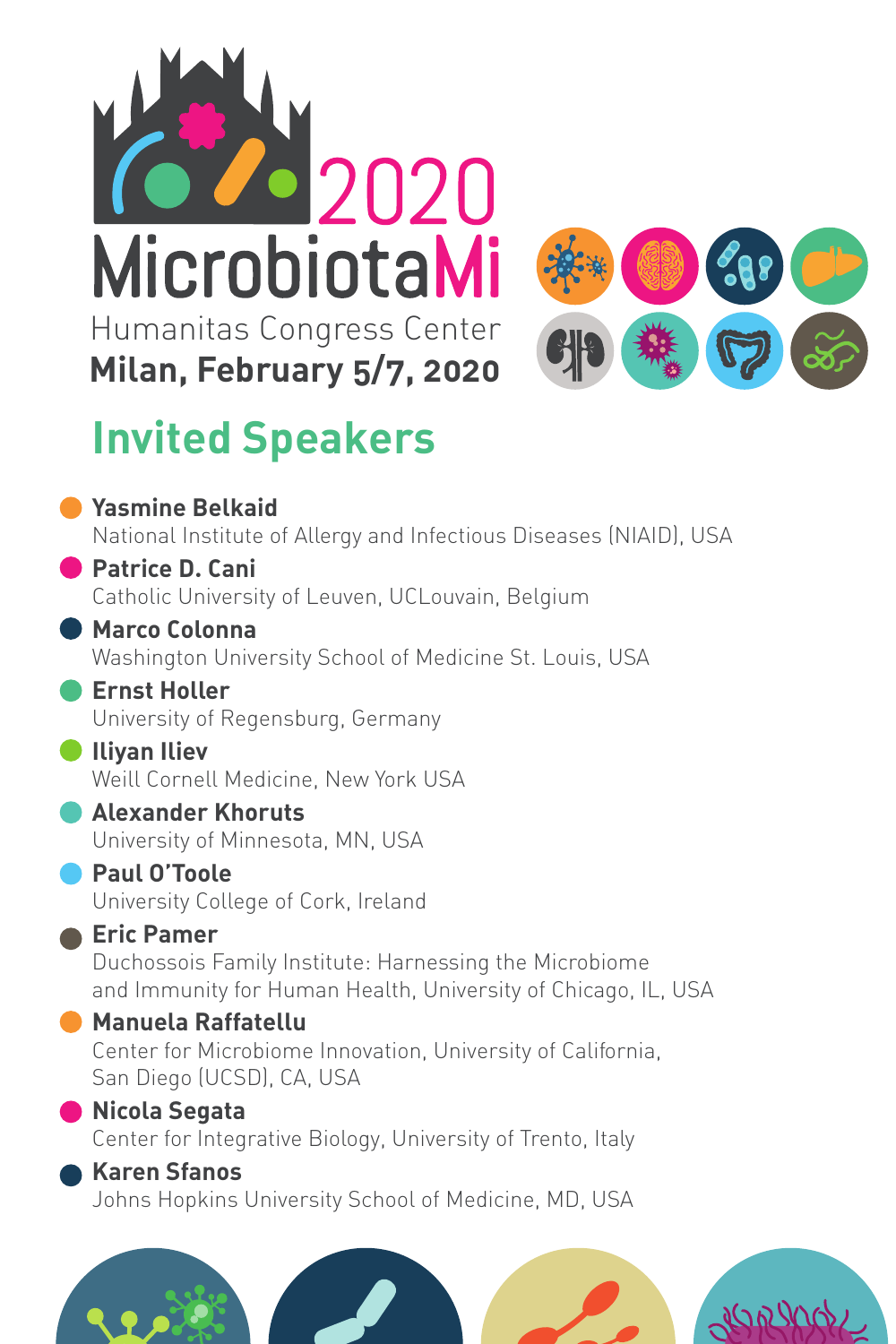



## **Invited Speakers**

| <b>Yasmine Belkaid</b>                                                                                                  |  |
|-------------------------------------------------------------------------------------------------------------------------|--|
| National Institute of Allergy and Infectious Diseases (NIAID), USA                                                      |  |
| <b>Patrice D. Cani</b>                                                                                                  |  |
| Catholic University of Leuven, UCLouvain, Belgium                                                                       |  |
| <b>Marco Colonna</b><br>Washington University School of Medicine St. Louis, USA                                         |  |
| <b>Ernst Holler</b>                                                                                                     |  |
| University of Regensburg, Germany                                                                                       |  |
| <b>Iliyan Iliev</b>                                                                                                     |  |
| Weill Cornell Medicine, New York USA                                                                                    |  |
| <b>Alexander Khoruts</b>                                                                                                |  |
| University of Minnesota, MN, USA                                                                                        |  |
| Paul O'Toole<br>University College of Cork, Ireland                                                                     |  |
| <b>Eric Pamer</b>                                                                                                       |  |
| Duchossois Family Institute: Harnessing the Microbiome<br>and Immunity for Human Health, University of Chicago, IL, USA |  |
| <b>Manuela Raffatellu</b>                                                                                               |  |
| Center for Microbiome Innovation, University of California,<br>San Diego (UCSD), CA, USA                                |  |
| Nicola Segata                                                                                                           |  |
| Center for Integrative Biology, University of Trento, Italy                                                             |  |
| <b>Karen Sfanos</b>                                                                                                     |  |
| Johns Hopkins University School of Medicine, MD, USA                                                                    |  |
|                                                                                                                         |  |
|                                                                                                                         |  |
|                                                                                                                         |  |
| $\sqrt{2}$                                                                                                              |  |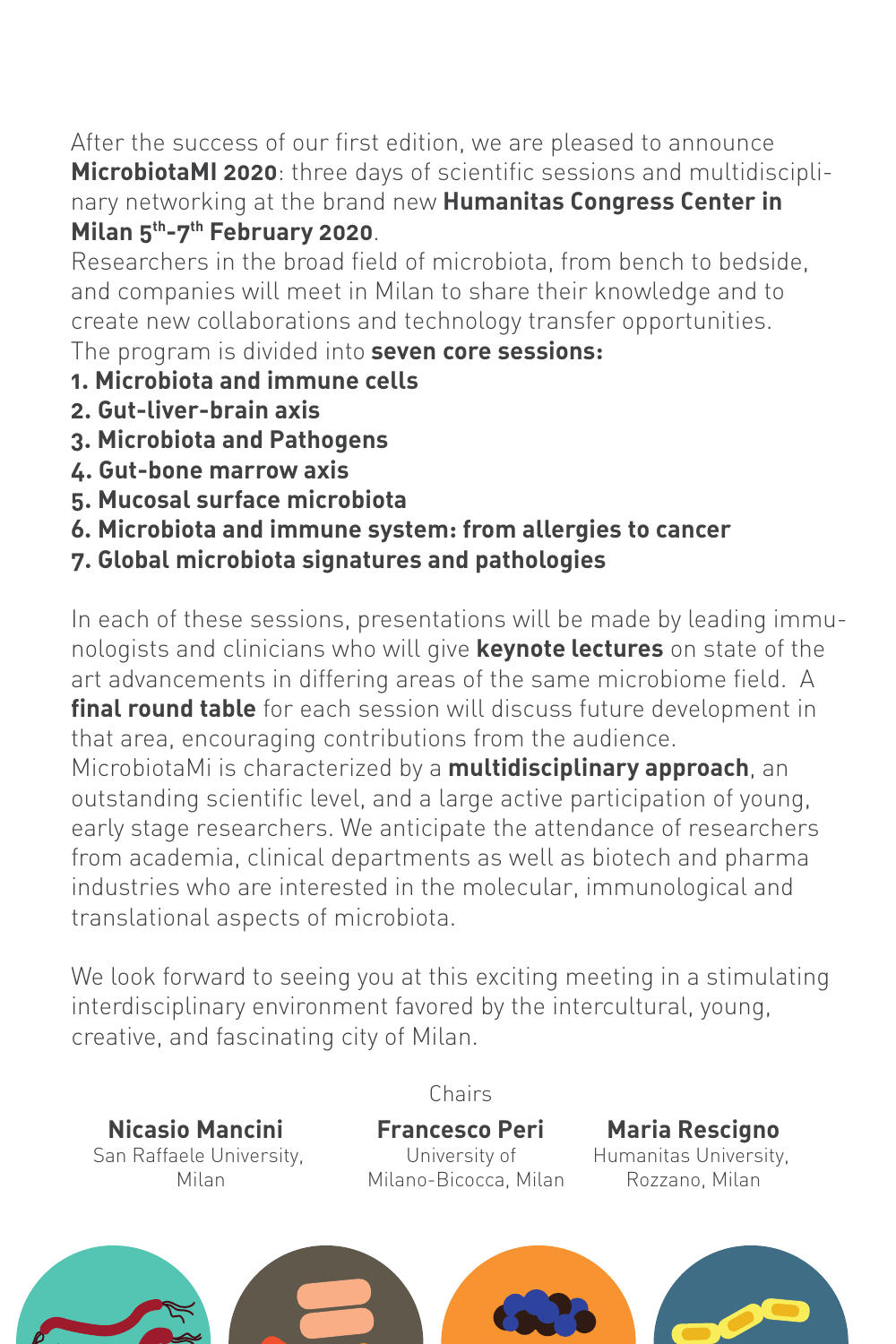After the success of our first edition, we are pleased to announce **MicrobiotaMI 2020**: three days of scientific sessions and multidisciplinary networking at the brand new **Humanitas Congress Center in Milan 5th-7th February 2020**.

Researchers in the broad field of microbiota, from bench to bedside, and companies will meet in Milan to share their knowledge and to create new collaborations and technology transfer opportunities. The program is divided into **seven core sessions:** 

- **1. Microbiota and immune cells**
- **2. Gut-liver-brain axis**
- **3. Microbiota and Pathogens**
- **4. Gut-bone marrow axis**
- **5. Mucosal surface microbiota**
- **6. Microbiota and immune system: from allergies to cancer**
- **7. Global microbiota signatures and pathologies**

In each of these sessions, presentations will be made by leading immunologists and clinicians who will give **keynote lectures** on state of the art advancements in differing areas of the same microbiome field. A **final round table** for each session will discuss future development in that area, encouraging contributions from the audience.

MicrobiotaMi is characterized by a **multidisciplinary approach**, an outstanding scientific level, and a large active participation of young, early stage researchers. We anticipate the attendance of researchers from academia, clinical departments as well as biotech and pharma industries who are interested in the molecular, immunological and translational aspects of microbiota.

We look forward to seeing you at this exciting meeting in a stimulating interdisciplinary environment favored by the intercultural, young, creative, and fascinating city of Milan.

**Nicasio Mancini Francesco Peri Maria Rescigno**  San Raffaele University, San Raffaele University, University, University,

Chairs

Milan Milano-Bicocca, Milan Rozzano, Milan

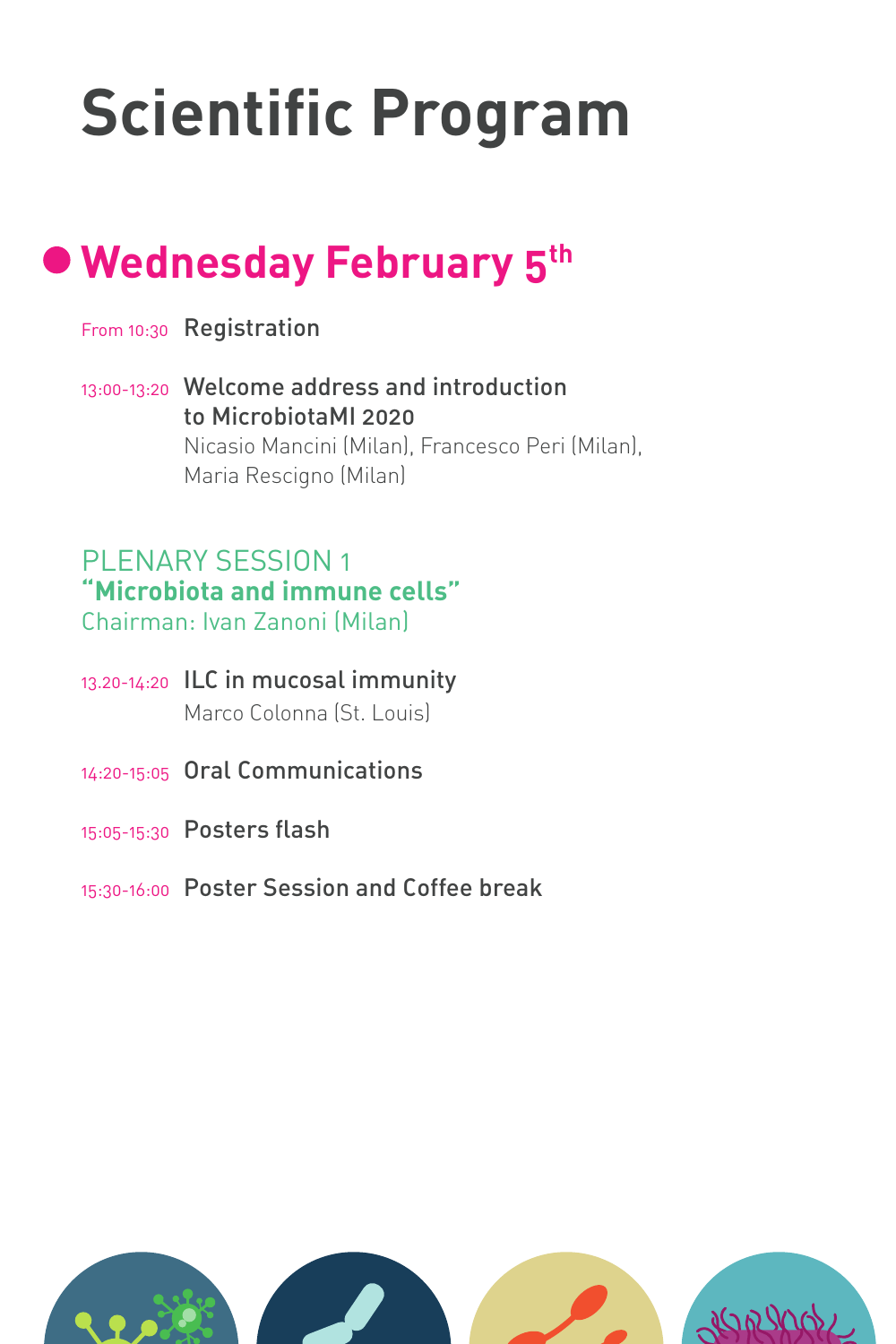## **Scientific Program**

## **Wednesday February 5th**

- From 10:30 Registration
- 13:00-13:20 Welcome address and introduction to MicrobiotaMI 2020 Nicasio Mancini (Milan), Francesco Peri (Milan), Maria Rescigno (Milan)

#### PLENARY SESSION 1 **"Microbiota and immune cells"** Chairman: Ivan Zanoni (Milan)

- 13.20-14:20 ILC in mucosal immunity Marco Colonna (St. Louis)
- 14:20-15:05 Oral Communications
- 15:05-15:30 Posters flash
- 15:30-16:00 Poster Session and Coffee break

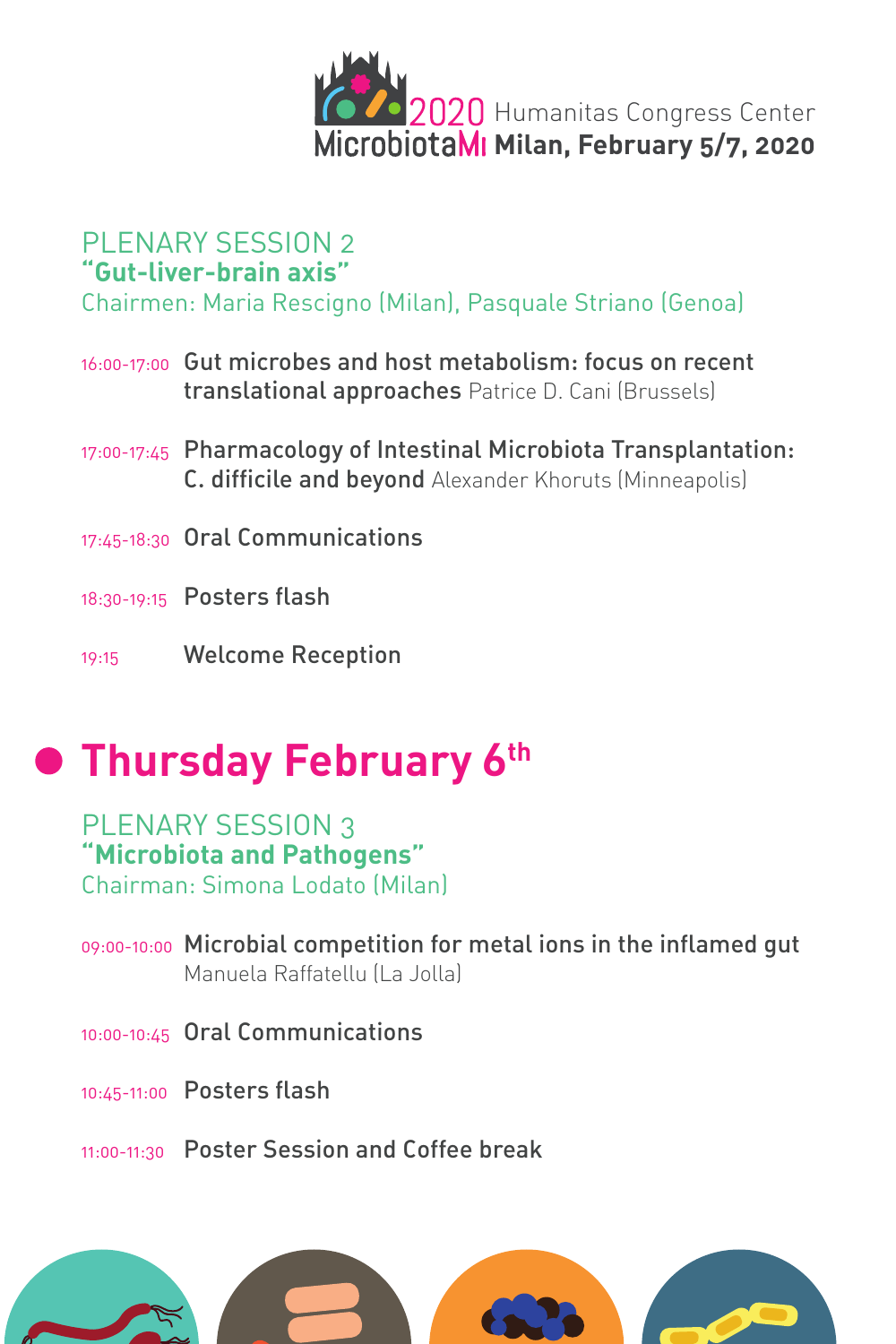

#### PLENARY SESSION 2 **"Gut-liver-brain axis"**

Chairmen: Maria Rescigno (Milan), Pasquale Striano (Genoa)

- 16:00-17:00 Gut microbes and host metabolism: focus on recent translational approaches Patrice D. Cani (Brussels)
- 17:00-17:45 Pharmacology of Intestinal Microbiota Transplantation: C. difficile and beyond Alexander Khoruts (Minneapolis)
- 17:45-18:30 Oral Communications
- 18:30-19:15 Posters flash
- 19:15 Welcome Reception

## **• Thursday February 6th**

#### PLENARY SESSION 3 **"Microbiota and Pathogens"**

Chairman: Simona Lodato (Milan)

- 09:00-10:00 Microbial competition for metal ions in the inflamed gut Manuela Raffatellu (La Jolla)
- 10:00-10:45 Oral Communications
- 10:45-11:00 Posters flash
- 11:00-11:30 Poster Session and Coffee break

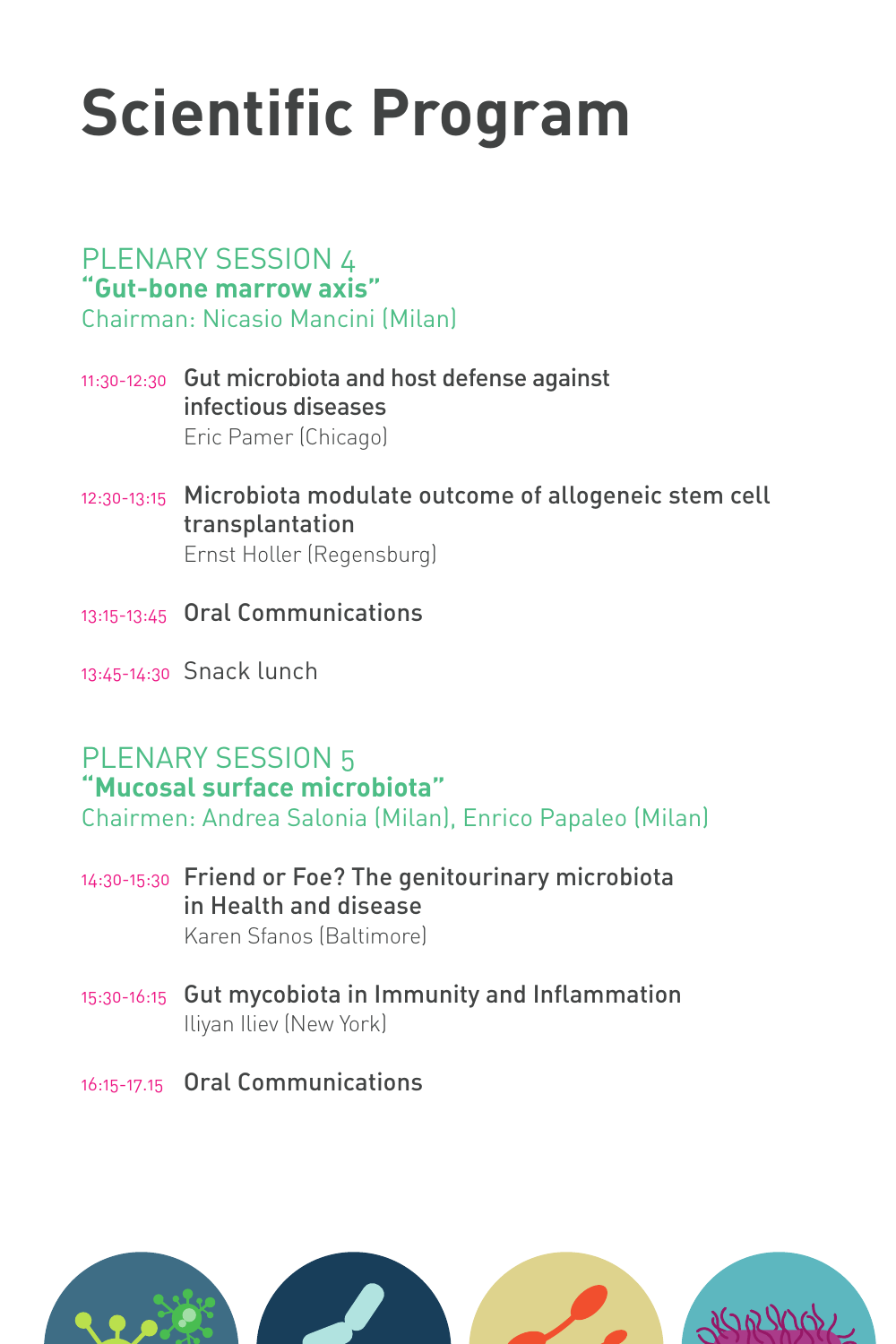## **Scientific Program**

#### PLENARY SESSION 4 **"Gut-bone marrow axis"**

Chairman: Nicasio Mancini (Milan)

- 11:30-12:30 Gut microbiota and host defense against infectious diseases Eric Pamer (Chicago)
- 12:30-13:15 Microbiota modulate outcome of allogeneic stem cell transplantation Ernst Holler (Regensburg)
- 13:15-13:45 Oral Communications
- 13:45-14:30 Snack lunch

#### PLENARY SESSION 5 **"Mucosal surface microbiota"**

Chairmen: Andrea Salonia (Milan), Enrico Papaleo (Milan)

- 14:30-15:30 Friend or Foe? The genitourinary microbiota in Health and disease Karen Sfanos (Baltimore)
- 15:30-16:15 Gut mycobiota in Immunity and Inflammation Iliyan Iliev (New York)
- 16:15-17.15 Oral Communications

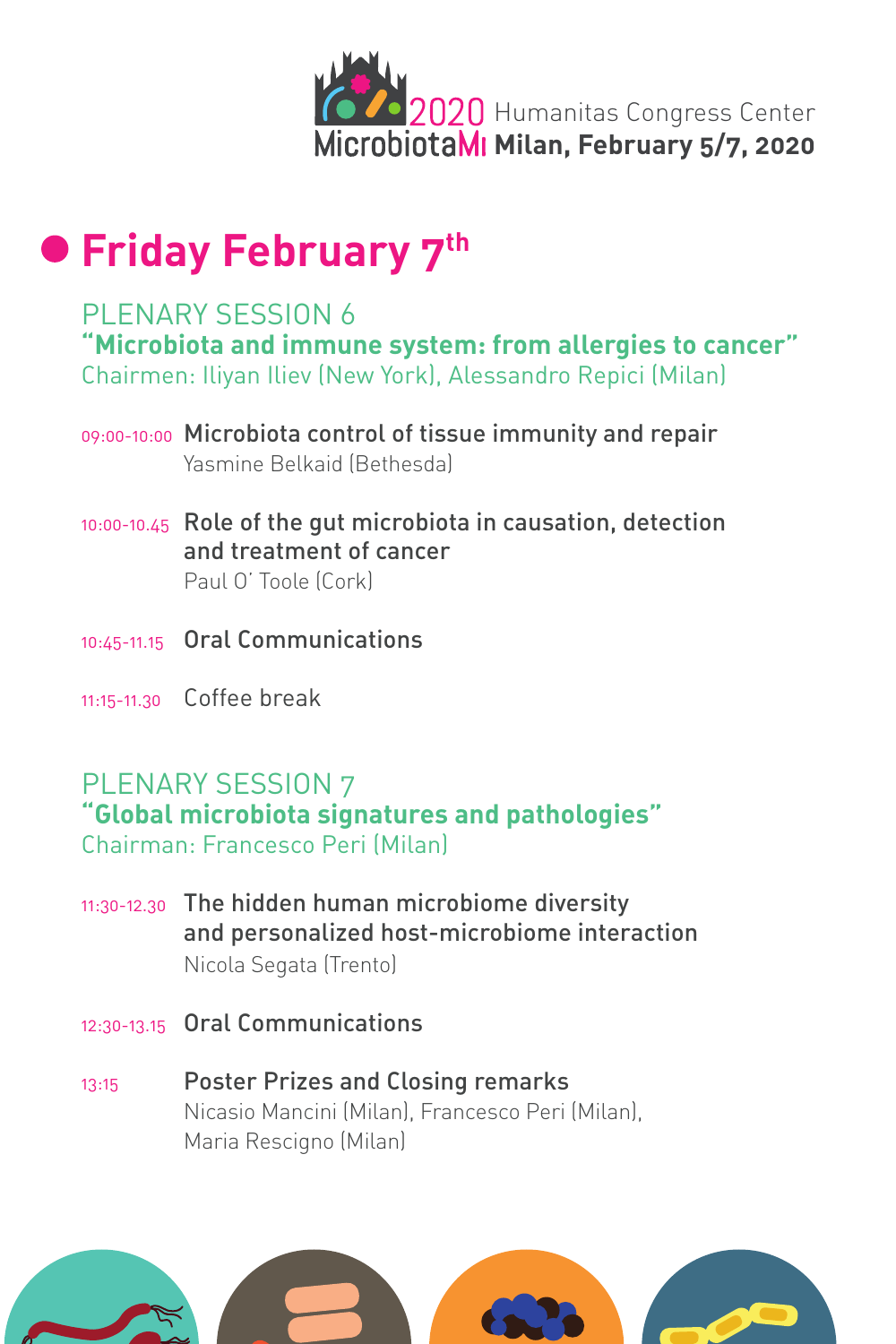

### **• Friday February 7th**

#### PLENARY SESSION 6 **"Microbiota and immune system: from allergies to cancer"** Chairmen: Iliyan Iliev (New York), Alessandro Repici (Milan)

- 09:00-10:00 Microbiota control of tissue immunity and repair Yasmine Belkaid (Bethesda)
- 10:00-10.45 Role of the gut microbiota in causation, detection and treatment of cancer Paul O' Toole (Cork)
- 10:45-11.15 Oral Communications
- 11:15-11.30 Coffee break

#### PLENARY SESSION 7

**"Global microbiota signatures and pathologies"** Chairman: Francesco Peri (Milan)

- 11:30-12.30 The hidden human microbiome diversity and personalized host-microbiome interaction Nicola Segata (Trento)
- 12:30-13.15 Oral Communications
- 13:15 Poster Prizes and Closing remarks Nicasio Mancini (Milan), Francesco Peri (Milan), Maria Rescigno (Milan)